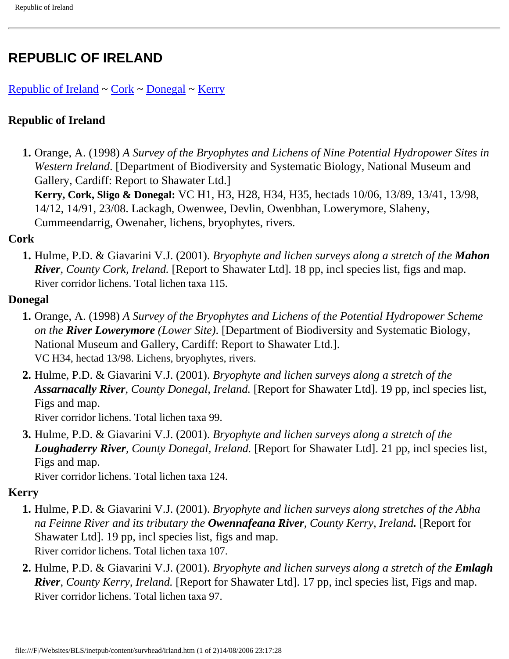# **REPUBLIC OF IRELAND**

### [Republic of Ireland](#page-0-0)  $\sim$  [Cork](#page-0-1)  $\sim$  [Donegal](#page-0-2)  $\sim$  Kerry

## <span id="page-0-0"></span>**Republic of Ireland**

 **1.** Orange, A. (1998) *A Survey of the Bryophytes and Lichens of Nine Potential Hydropower Sites in Western Ireland*. [Department of Biodiversity and Systematic Biology, National Museum and Gallery, Cardiff: Report to Shawater Ltd.]

**Kerry, Cork, Sligo & Donegal:** VC H1, H3, H28, H34, H35, hectads 10/06, 13/89, 13/41, 13/98, 14/12, 14/91, 23/08. Lackagh, Owenwee, Devlin, Owenbhan, Lowerymore, Slaheny, Cummeendarrig, Owenaher, lichens, bryophytes, rivers.

### <span id="page-0-1"></span>**Cork**

 **1.** Hulme, P.D. & Giavarini V.J. (2001). *Bryophyte and lichen surveys along a stretch of the Mahon River, County Cork, Ireland.* [Report to Shawater Ltd]. 18 pp, incl species list, figs and map. River corridor lichens. Total lichen taxa 115.

#### <span id="page-0-2"></span>**Donegal**

- **1.** Orange, A. (1998) *A Survey of the Bryophytes and Lichens of the Potential Hydropower Scheme on the River Lowerymore (Lower Site)*. [Department of Biodiversity and Systematic Biology, National Museum and Gallery, Cardiff: Report to Shawater Ltd.]. VC H34, hectad 13/98. Lichens, bryophytes, rivers.
- **2.** Hulme, P.D. & Giavarini V.J. (2001). *Bryophyte and lichen surveys along a stretch of the Assarnacally River, County Donegal, Ireland.* [Report for Shawater Ltd]. 19 pp, incl species list, Figs and map.

River corridor lichens. Total lichen taxa 99.

**3.** Hulme, P.D. & Giavarini V.J. (2001). *Bryophyte and lichen surveys along a stretch of the Loughaderry River, County Donegal, Ireland.* [Report for Shawater Ltd]. 21 pp, incl species list, Figs and map.

River corridor lichens. Total lichen taxa 124.

### <span id="page-0-3"></span>**Kerry**

- **1.** Hulme, P.D. & Giavarini V.J. (2001). *Bryophyte and lichen surveys along stretches of the Abha na Feinne River and its tributary the Owennafeana River, County Kerry, Ireland.* [Report for Shawater Ltd]. 19 pp, incl species list, figs and map. River corridor lichens. Total lichen taxa 107.
- **2.** Hulme, P.D. & Giavarini V.J. (2001). *Bryophyte and lichen surveys along a stretch of the Emlagh River, County Kerry, Ireland.* [Report for Shawater Ltd]. 17 pp, incl species list, Figs and map. River corridor lichens. Total lichen taxa 97.